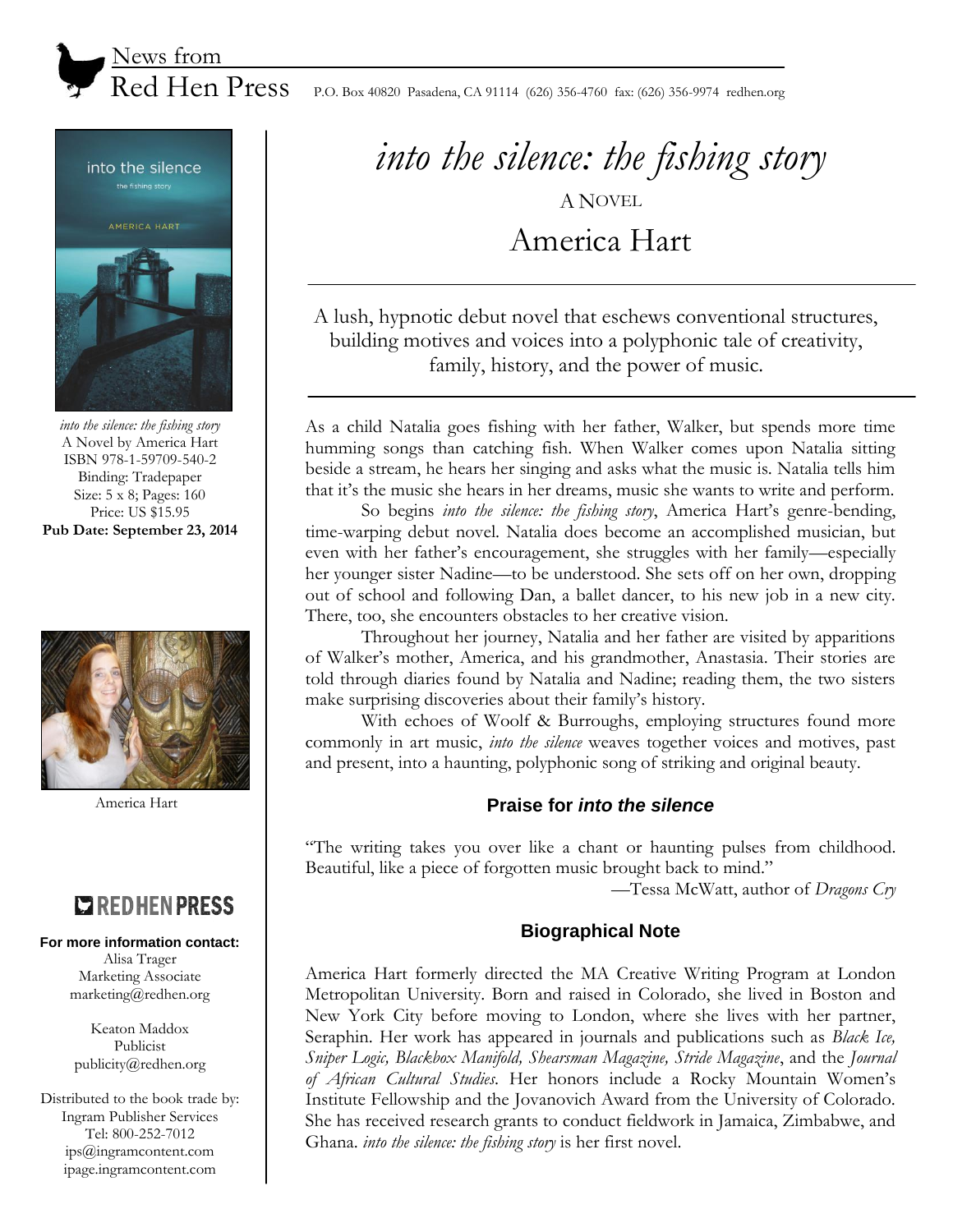

Red Hen Press P.O. Box 40820 Pasadena, CA 91114 (626) 356-4760 fax: (626) 356-9974 redhen.org



*into the silence: the fishing story* A Novel by America Hart ISBN 978-1-59709-540-2 Binding: Tradepaper Size: 5 x 8; Pages: 160 Price: US \$15.95 **Pub Date: September 23, 2014**



America Hart

# **COREDHENPRESS**

#### **For more information contact:**

Alisa Trager Marketing Associate marketing@redhen.org

Keaton Maddox Publicist publicity@redhen.org

Distributed to the book trade by: Ingram Publisher Services Tel: 800-252-7012 ips@ingramcontent.com ipage.ingramcontent.com

*into the silence: the fishing story* A NOVEL

America Hart

A lush, hypnotic debut novel that eschews conventional structures, building motives and voices into a polyphonic tale of creativity, family, history, and the power of music.

As a child Natalia goes fishing with her father, Walker, but spends more time humming songs than catching fish. When Walker comes upon Natalia sitting beside a stream, he hears her singing and asks what the music is. Natalia tells him that it's the music she hears in her dreams, music she wants to write and perform.

So begins *into the silence: the fishing story*, America Hart's genre-bending, time-warping debut novel. Natalia does become an accomplished musician, but even with her father's encouragement, she struggles with her family—especially her younger sister Nadine—to be understood. She sets off on her own, dropping out of school and following Dan, a ballet dancer, to his new job in a new city. There, too, she encounters obstacles to her creative vision.

Throughout her journey, Natalia and her father are visited by apparitions of Walker's mother, America, and his grandmother, Anastasia. Their stories are told through diaries found by Natalia and Nadine; reading them, the two sisters make surprising discoveries about their family's history.

With echoes of Woolf & Burroughs, employing structures found more commonly in art music, *into the silence* weaves together voices and motives, past and present, into a haunting, polyphonic song of striking and original beauty.

## **Praise for** *into the silence*

"The writing takes you over like a chant or haunting pulses from childhood. Beautiful, like a piece of forgotten music brought back to mind."

—Tessa McWatt, author of *Dragons Cry*

### **Biographical Note**

America Hart formerly directed the MA Creative Writing Program at London Metropolitan University. Born and raised in Colorado, she lived in Boston and New York City before moving to London, where she lives with her partner, Seraphin. Her work has appeared in journals and publications such as *Black Ice, Sniper Logic, Blackbox Manifold, Shearsman Magazine, Stride Magazine*, and the *Journal of African Cultural Studies*. Her honors include a Rocky Mountain Women's Institute Fellowship and the Jovanovich Award from the University of Colorado. She has received research grants to conduct fieldwork in Jamaica, Zimbabwe, and Ghana. *into the silence: the fishing story* is her first novel.